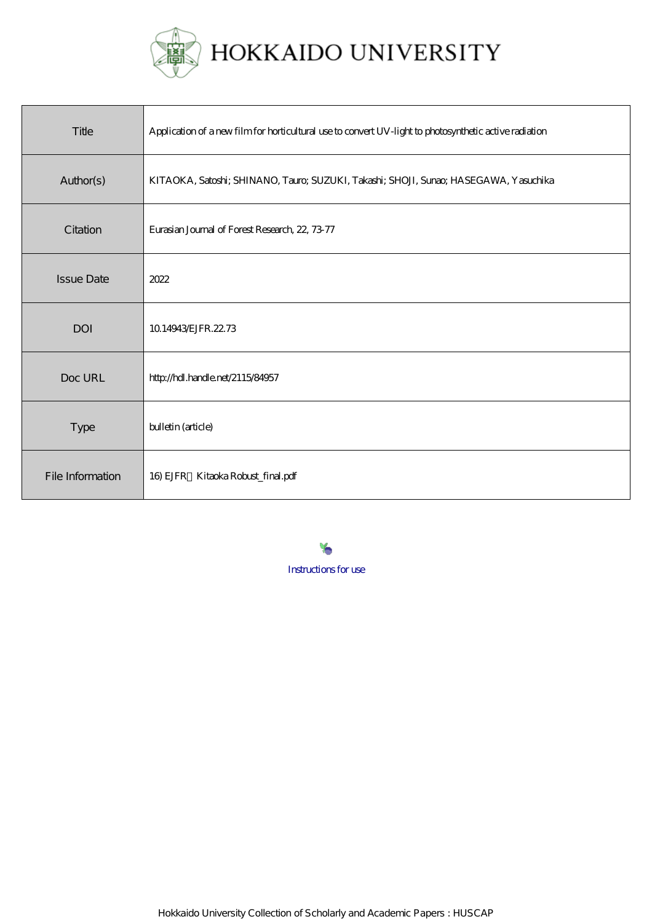

| Title             | Application of a new film for horticultural use to convert UV-light to photosynthetic active radiation |
|-------------------|--------------------------------------------------------------------------------------------------------|
| Author(s)         | KITAOKA, Satoshi; SHINANO, Tauro; SUZUKI, Takashi; SHOJI, Sunao; HASEGAWA, Yasuchika                   |
| Citation          | Eurasian Journal of Forest Research, 22, 73-77                                                         |
| <b>Issue Date</b> | 2022                                                                                                   |
| <b>DOI</b>        | 10.14943 EJFR. 22.73                                                                                   |
| Doc URL           | http://hdl.handle.net/2115/84957                                                                       |
| <b>Type</b>       | bulletin (article)                                                                                     |
| File Information  | 16) EJFR Kitaoka Robust_final.pdf                                                                      |

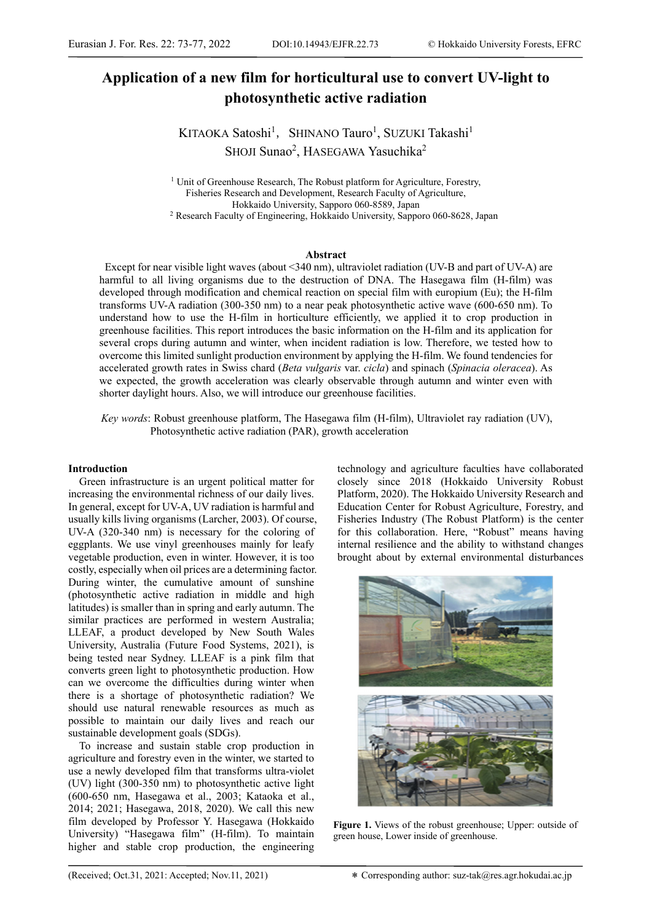# **Application of a new film for horticultural use to convert UV-light to photosynthetic active radiation**

KITAOKA Satoshi<sup>1</sup>, SHINANO Tauro<sup>1</sup>, SUZUKI Takashi<sup>1</sup> SHOJI Sunao<sup>2</sup>, HASEGAWA Yasuchika<sup>2</sup>

<sup>1</sup> Unit of Greenhouse Research, The Robust platform for Agriculture, Forestry, Fisheries Research and Development, Research Faculty of Agriculture, Hokkaido University, Sapporo 060-8589, Japan 2 Research Faculty of Engineering, Hokkaido University, Sapporo 060-8628, Japan

## **Abstract**

 Except for near visible light waves (about <340 nm), ultraviolet radiation (UV-B and part of UV-A) are harmful to all living organisms due to the destruction of DNA. The Hasegawa film (H-film) was developed through modification and chemical reaction on special film with europium (Eu); the H-film transforms UV-A radiation (300-350 nm) to a near peak photosynthetic active wave (600-650 nm). To understand how to use the H-film in horticulture efficiently, we applied it to crop production in greenhouse facilities. This report introduces the basic information on the H-film and its application for several crops during autumn and winter, when incident radiation is low. Therefore, we tested how to overcome this limited sunlight production environment by applying the H-film. We found tendencies for accelerated growth rates in Swiss chard (*Beta vulgaris* var. *cicla*) and spinach (*Spinacia oleracea*). As we expected, the growth acceleration was clearly observable through autumn and winter even with shorter daylight hours. Also, we will introduce our greenhouse facilities.

*Key words*: Robust greenhouse platform, The Hasegawa film (H-film), Ultraviolet ray radiation (UV), Photosynthetic active radiation (PAR), growth acceleration

## **Introduction**

Green infrastructure is an urgent political matter for increasing the environmental richness of our daily lives. In general, except for UV-A, UV radiation is harmful and usually kills living organisms (Larcher, 2003). Of course, UV-A (320-340 nm) is necessary for the coloring of eggplants. We use vinyl greenhouses mainly for leafy vegetable production, even in winter. However, it is too costly, especially when oil prices are a determining factor. During winter, the cumulative amount of sunshine (photosynthetic active radiation in middle and high latitudes) is smaller than in spring and early autumn. The similar practices are performed in western Australia; LLEAF, a product developed by New South Wales University, Australia (Future Food Systems, 2021), is being tested near Sydney. LLEAF is a pink film that converts green light to photosynthetic production. How can we overcome the difficulties during winter when there is a shortage of photosynthetic radiation? We should use natural renewable resources as much as possible to maintain our daily lives and reach our sustainable development goals (SDGs).

To increase and sustain stable crop production in agriculture and forestry even in the winter, we started to use a newly developed film that transforms ultra-violet (UV) light (300-350 nm) to photosynthetic active light (600-650 nm, Hasegawa et al., 2003; Kataoka et al., 2014; 2021; Hasegawa, 2018, 2020). We call this new film developed by Professor Y. Hasegawa (Hokkaido University) "Hasegawa film" (H-film). To maintain higher and stable crop production, the engineering

technology and agriculture faculties have collaborated closely since 2018 (Hokkaido University Robust Platform, 2020). The Hokkaido University Research and Education Center for Robust Agriculture, Forestry, and Fisheries Industry (The Robust Platform) is the center for this collaboration. Here, "Robust" means having internal resilience and the ability to withstand changes brought about by external environmental disturbances



Figure 1. Views of the robust greenhouse: Upper: outside of green house, Lower inside of greenhouse.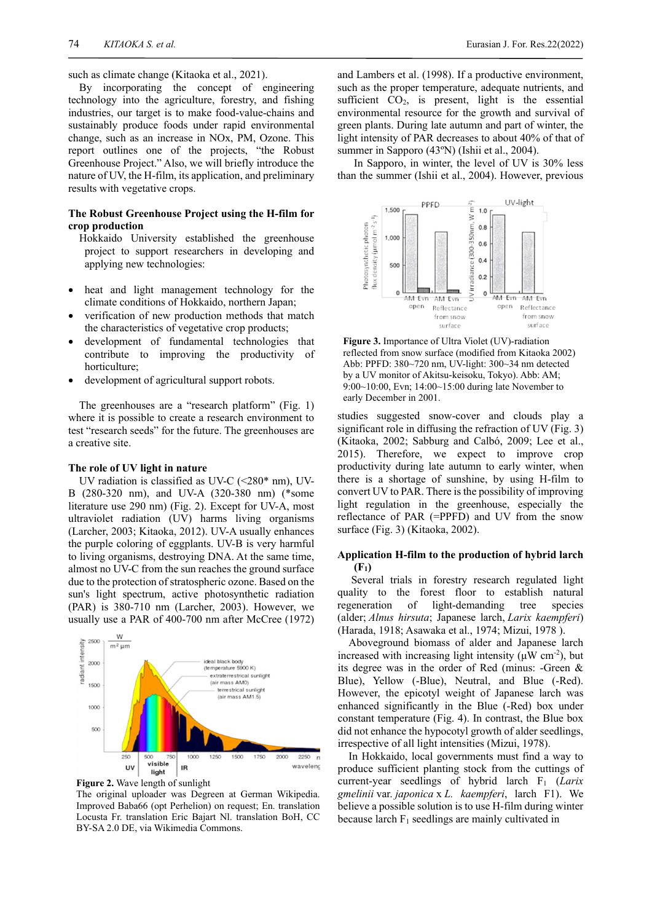such as climate change (Kitaoka et al., 2021).

By incorporating the concept of engineering technology into the agriculture, forestry, and fishing industries, our target is to make food-value-chains and sustainably produce foods under rapid environmental change, such as an increase in NOx, PM, Ozone. This report outlines one of the projects, "the Robust Greenhouse Project." Also, we will briefly introduce the nature of UV, the H-film, its application, and preliminary results with vegetative crops.

## **The Robust Greenhouse Project using the H-film for crop production**

- Hokkaido University established the greenhouse project to support researchers in developing and applying new technologies:
- heat and light management technology for the climate conditions of Hokkaido, northern Japan;
- verification of new production methods that match the characteristics of vegetative crop products;
- development of fundamental technologies that contribute to improving the productivity of horticulture;
- development of agricultural support robots.

The greenhouses are a "research platform" (Fig. 1) where it is possible to create a research environment to test "research seeds" for the future. The greenhouses are a creative site.

#### **The role of UV light in nature**

UV radiation is classified as UV-C  $(<280*$  nm), UV-B (280-320 nm), and UV-A (320-380 nm) (\*some literature use 290 nm) (Fig. 2). Except for UV-A, most ultraviolet radiation (UV) harms living organisms (Larcher, 2003; Kitaoka, 2012). UV-A usually enhances the purple coloring of eggplants. UV-B is very harmful to living organisms, destroying DNA. At the same time, almost no UV-C from the sun reaches the ground surface due to the protection of stratospheric ozone. Based on the sun's light spectrum, active photosynthetic radiation (PAR) is 380-710 nm (Larcher, 2003). However, we usually use a PAR of 400-700 nm after McCree (1972)



**Figure 2.** Wave length of sunlight

The original uploader was Degreen at German Wikipedia. Improved Baba66 (opt Perhelion) on request; En. translation Locusta Fr. translation Eric Bajart Nl. translation BoH, CC BY-SA 2.0 DE, via Wikimedia Commons.

and Lambers et al. (1998). If a productive environment, such as the proper temperature, adequate nutrients, and sufficient CO<sub>2</sub>, is present, light is the essential environmental resource for the growth and survival of green plants. During late autumn and part of winter, the light intensity of PAR decreases to about 40% of that of summer in Sapporo (43ºN) (Ishii et al., 2004).

In Sapporo, in winter, the level of UV is 30% less than the summer (Ishii et al., 2004). However, previous





studies suggested snow-cover and clouds play a significant role in diffusing the refraction of UV (Fig. 3) (Kitaoka, 2002; Sabburg and Calbό, 2009; Lee et al., 2015). Therefore, we expect to improve crop productivity during late autumn to early winter, when there is a shortage of sunshine, by using H-film to convert UV to PAR. There is the possibility of improving light regulation in the greenhouse, especially the reflectance of PAR (=PPFD) and UV from the snow surface (Fig. 3) (Kitaoka, 2002).

## **Application H-film to the production of hybrid larch (F1)**

 Several trials in forestry research regulated light quality to the forest floor to establish natural regeneration of light-demanding tree species (alder; *Alnus hirsuta*; Japanese larch, *Larix kaempferi*) (Harada, 1918; Asawaka et al., 1974; Mizui, 1978 ).

Aboveground biomass of alder and Japanese larch increased with increasing light intensity ( $\mu$ W cm<sup>-2</sup>), but its degree was in the order of Red (minus: -Green & Blue), Yellow (-Blue), Neutral, and Blue (-Red). However, the epicotyl weight of Japanese larch was enhanced significantly in the Blue (-Red) box under constant temperature (Fig. 4). In contrast, the Blue box did not enhance the hypocotyl growth of alder seedlings, irrespective of all light intensities (Mizui, 1978).

In Hokkaido, local governments must find a way to produce sufficient planting stock from the cuttings of current-year seedlings of hybrid larch F1 (*Larix gmelinii* var. *japonica* x *L. kaempferi*, larch F1). We believe a possible solution is to use H-film during winter because larch  $F_1$  seedlings are mainly cultivated in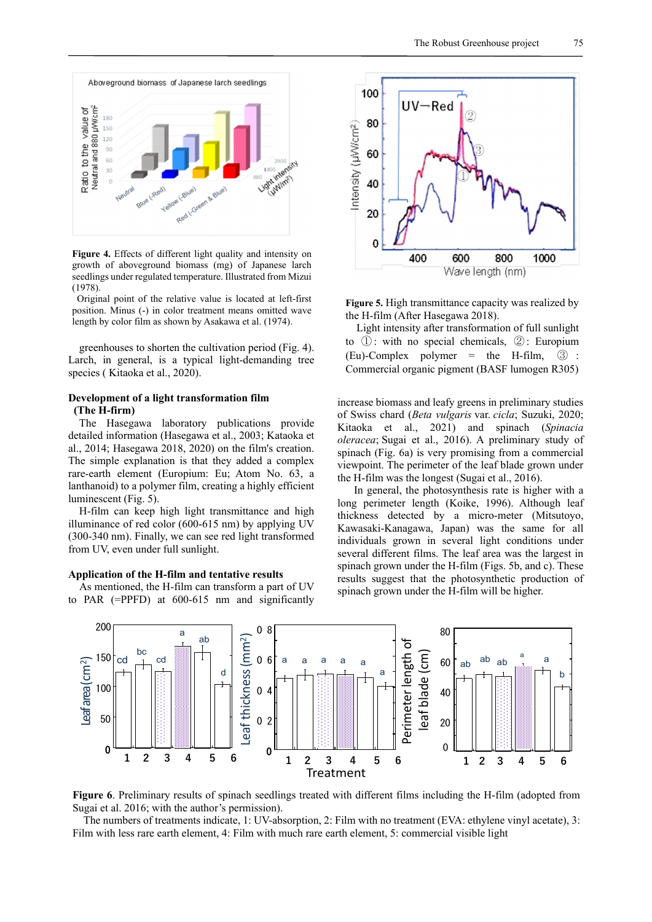

**Figure 4.** Effects of different light quality and intensity on growth of aboveground biomass (mg) of Japanese larch seedlings under regulated temperature. Illustrated from Mizui (1978).

 Original point of the relative value is located at left-first position. Minus (-) in color treatment means omitted wave length by color film as shown by Asakawa et al. (1974).

greenhouses to shorten the cultivation period (Fig. 4). Larch, in general, is a typical light-demanding tree species ( Kitaoka et al., 2020).

## **Development of a light transformation film (The H-firm)**

The Hasegawa laboratory publications provide detailed information (Hasegawa et al., 2003; Kataoka et al., 2014; Hasegawa 2018, 2020) on the film's creation. The simple explanation is that they added a complex rare-earth element (Europium: Eu; Atom No. 63, a lanthanoid) to a polymer film, creating a highly efficient luminescent (Fig. 5).

H-film can keep high light transmittance and high illuminance of red color (600-615 nm) by applying UV (300-340 nm). Finally, we can see red light transformed from UV, even under full sunlight.

#### **Application of the H-film and tentative results**

As mentioned, the H-film can transform a part of UV to PAR (=PPFD) at 600-615 nm and significantly



**Figure 5.** High transmittance capacity was realized by the H-film (After Hasegawa 2018).

Light intensity after transformation of full sunlight to ①: with no special chemicals, ②: Europium  $(Eu)$ -Complex polymer = the H-film,  $\circled{3}$ : Commercial organic pigment (BASF lumogen R305)

increase biomass and leafy greens in preliminary studies of Swiss chard (*Beta vulgaris* var. *cicla*; Suzuki, 2020; Kitaoka et al., 2021) and spinach (*Spinacia oleracea*; Sugai et al., 2016). A preliminary study of spinach (Fig. 6a) is very promising from a commercial viewpoint. The perimeter of the leaf blade grown under the H-film was the longest (Sugai et al., 2016).

 In general, the photosynthesis rate is higher with a long perimeter length (Koike, 1996). Although leaf thickness detected by a micro-meter (Mitsutoyo, Kawasaki-Kanagawa, Japan) was the same for all individuals grown in several light conditions under several different films. The leaf area was the largest in spinach grown under the H-film (Figs. 5b, and c). These results suggest that the photosynthetic production of spinach grown under the H-film will be higher.



**Figure 6**. Preliminary results of spinach seedlings treated with different films including the H-film (adopted from Sugai et al. 2016; with the author's permission).

The numbers of treatments indicate, 1: UV-absorption, 2: Film with no treatment (EVA: ethylene vinyl acetate), 3: Film with less rare earth element, 4: Film with much rare earth element, 5: commercial visible light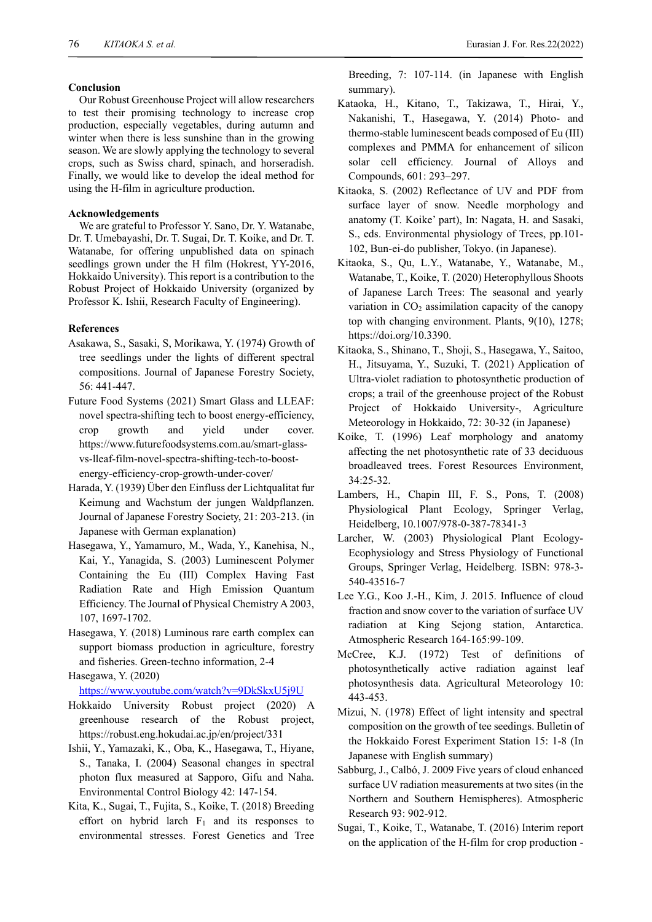#### **Conclusion**

Our Robust Greenhouse Project will allow researchers to test their promising technology to increase crop production, especially vegetables, during autumn and winter when there is less sunshine than in the growing season. We are slowly applying the technology to several crops, such as Swiss chard, spinach, and horseradish. Finally, we would like to develop the ideal method for using the H-film in agriculture production.

#### **Acknowledgements**

We are grateful to Professor Y. Sano, Dr. Y. Watanabe, Dr. T. Umebayashi, Dr. T. Sugai, Dr. T. Koike, and Dr. T. Watanabe, for offering unpublished data on spinach seedlings grown under the H film (Hokrest, YY-2016, Hokkaido University). This report is a contribution to the Robust Project of Hokkaido University (organized by Professor K. Ishii, Research Faculty of Engineering).

## **References**

- Asakawa, S., Sasaki, S, Morikawa, Y. (1974) Growth of tree seedlings under the lights of different spectral compositions. Journal of Japanese Forestry Society, 56: 441-447.
- Future Food Systems (2021) Smart Glass and LLEAF: novel spectra-shifting tech to boost energy-efficiency, crop growth and yield under cover. https://www.futurefoodsystems.com.au/smart-glassvs-lleaf-film-novel-spectra-shifting-tech-to-boostenergy-efficiency-crop-growth-under-cover/
- Harada, Y. (1939) Über den Einfluss der Lichtqualitat fur Keimung and Wachstum der jungen Waldpflanzen. Journal of Japanese Forestry Society, 21: 203-213. (in Japanese with German explanation)
- Hasegawa, Y., Yamamuro, M., Wada, Y., Kanehisa, N., Kai, Y., Yanagida, S. (2003) Luminescent Polymer Containing the Eu (III) Complex Having Fast Radiation Rate and High Emission Quantum Efficiency. The Journal of Physical Chemistry A 2003, 107, 1697-1702.
- Hasegawa, Y. (2018) Luminous rare earth complex can support biomass production in agriculture, forestry and fisheries. Green-techno information, 2-4

Hasegawa, Y. (2020)

https://www.youtube.com/watch?v=9DkSkxU5j9U Hokkaido University Robust project (2020) A

- greenhouse research of the Robust project, https://robust.eng.hokudai.ac.jp/en/project/331
- Ishii, Y., Yamazaki, K., Oba, K., Hasegawa, T., Hiyane, S., Tanaka, I. (2004) Seasonal changes in spectral photon flux measured at Sapporo, Gifu and Naha. Environmental Control Biology 42: 147-154.
- Kita, K., Sugai, T., Fujita, S., Koike, T. (2018) Breeding effort on hybrid larch  $F_1$  and its responses to environmental stresses. Forest Genetics and Tree

Breeding, 7: 107-114. (in Japanese with English summary).

- Kataoka, H., Kitano, T., Takizawa, T., Hirai, Y., Nakanishi, T., Hasegawa, Y. (2014) Photo- and thermo-stable luminescent beads composed of Eu (III) complexes and PMMA for enhancement of silicon solar cell efficiency. Journal of Alloys and Compounds, 601: 293–297.
- Kitaoka, S. (2002) Reflectance of UV and PDF from surface layer of snow. Needle morphology and anatomy (T. Koike' part), In: Nagata, H. and Sasaki, S., eds. Environmental physiology of Trees, pp.101- 102, Bun-ei-do publisher, Tokyo. (in Japanese).
- Kitaoka, S., Qu, L.Y., Watanabe, Y., Watanabe, M., Watanabe, T., Koike, T. (2020) Heterophyllous Shoots of Japanese Larch Trees: The seasonal and yearly variation in  $CO<sub>2</sub>$  assimilation capacity of the canopy top with changing environment. Plants, 9(10), 1278; https://doi.org/10.3390.
- Kitaoka, S., Shinano, T., Shoji, S., Hasegawa, Y., Saitoo, H., Jitsuyama, Y., Suzuki, T. (2021) Application of Ultra-violet radiation to photosynthetic production of crops; a trail of the greenhouse project of the Robust Project of Hokkaido University-, Agriculture Meteorology in Hokkaido, 72: 30-32 (in Japanese)
- Koike, T. (1996) Leaf morphology and anatomy affecting the net photosynthetic rate of 33 deciduous broadleaved trees. Forest Resources Environment, 34:25-32.
- Lambers, H., Chapin III, F. S., Pons, T. (2008) Physiological Plant Ecology, Springer Verlag, Heidelberg, 10.1007/978-0-387-78341-3
- Larcher, W. (2003) Physiological Plant Ecology-Ecophysiology and Stress Physiology of Functional Groups, Springer Verlag, Heidelberg. ISBN: 978-3- 540-43516-7
- Lee Y.G., Koo J.-H., Kim, J. 2015. Influence of cloud fraction and snow cover to the variation of surface UV radiation at King Sejong station, Antarctica. Atmospheric Research 164-165:99-109.
- McCree, K.J. (1972) Test of definitions of photosynthetically active radiation against leaf photosynthesis data. Agricultural Meteorology 10: 443-453.
- Mizui, N. (1978) Effect of light intensity and spectral composition on the growth of tee seedings. Bulletin of the Hokkaido Forest Experiment Station 15: 1-8 (In Japanese with English summary)
- Sabburg, J., Calbό, J. 2009 Five years of cloud enhanced surface UV radiation measurements at two sites (in the Northern and Southern Hemispheres). Atmospheric Research 93: 902-912.
- Sugai, T., Koike, T., Watanabe, T. (2016) Interim report on the application of the H-film for crop production -